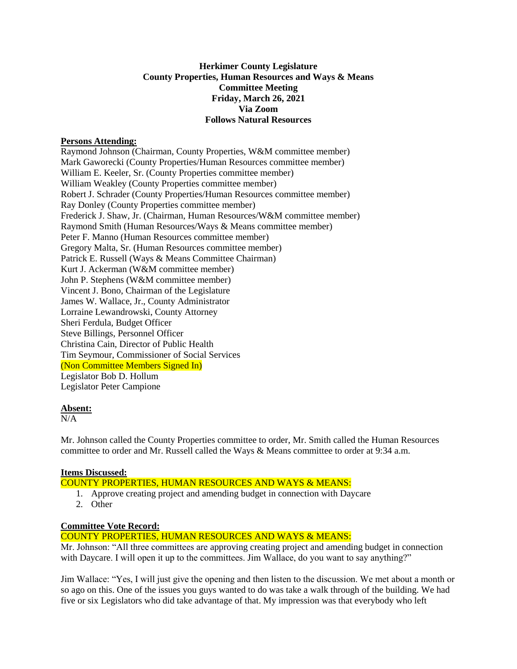# **Herkimer County Legislature County Properties, Human Resources and Ways & Means Committee Meeting Friday, March 26, 2021 Via Zoom Follows Natural Resources**

## **Persons Attending:**

Raymond Johnson (Chairman, County Properties, W&M committee member) Mark Gaworecki (County Properties/Human Resources committee member) William E. Keeler, Sr. (County Properties committee member) William Weakley (County Properties committee member) Robert J. Schrader (County Properties/Human Resources committee member) Ray Donley (County Properties committee member) Frederick J. Shaw, Jr. (Chairman, Human Resources/W&M committee member) Raymond Smith (Human Resources/Ways & Means committee member) Peter F. Manno (Human Resources committee member) Gregory Malta, Sr. (Human Resources committee member) Patrick E. Russell (Ways & Means Committee Chairman) Kurt J. Ackerman (W&M committee member) John P. Stephens (W&M committee member) Vincent J. Bono, Chairman of the Legislature James W. Wallace, Jr., County Administrator Lorraine Lewandrowski, County Attorney Sheri Ferdula, Budget Officer Steve Billings, Personnel Officer Christina Cain, Director of Public Health Tim Seymour, Commissioner of Social Services (Non Committee Members Signed In) Legislator Bob D. Hollum Legislator Peter Campione

### **Absent:**

 $\overline{N/A}$ 

Mr. Johnson called the County Properties committee to order, Mr. Smith called the Human Resources committee to order and Mr. Russell called the Ways & Means committee to order at 9:34 a.m.

## **Items Discussed:**

COUNTY PROPERTIES, HUMAN RESOURCES AND WAYS & MEANS:

- 1. Approve creating project and amending budget in connection with Daycare
- 2. Other

## **Committee Vote Record:**

COUNTY PROPERTIES, HUMAN RESOURCES AND WAYS & MEANS:

Mr. Johnson: "All three committees are approving creating project and amending budget in connection with Daycare. I will open it up to the committees. Jim Wallace, do you want to say anything?"

Jim Wallace: "Yes, I will just give the opening and then listen to the discussion. We met about a month or so ago on this. One of the issues you guys wanted to do was take a walk through of the building. We had five or six Legislators who did take advantage of that. My impression was that everybody who left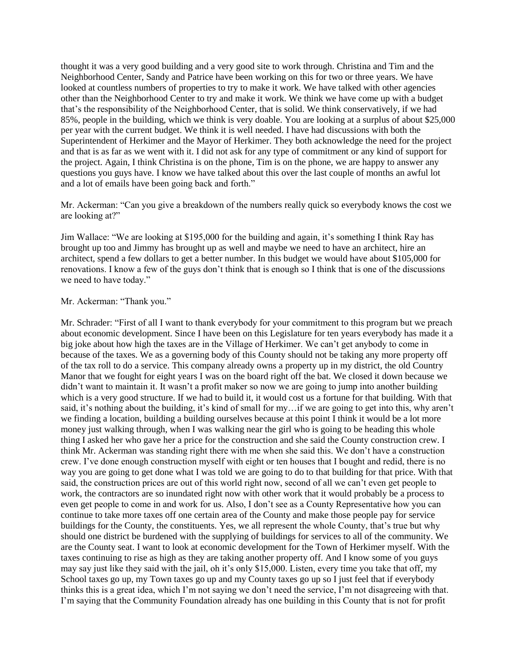thought it was a very good building and a very good site to work through. Christina and Tim and the Neighborhood Center, Sandy and Patrice have been working on this for two or three years. We have looked at countless numbers of properties to try to make it work. We have talked with other agencies other than the Neighborhood Center to try and make it work. We think we have come up with a budget that's the responsibility of the Neighborhood Center, that is solid. We think conservatively, if we had 85%, people in the building, which we think is very doable. You are looking at a surplus of about \$25,000 per year with the current budget. We think it is well needed. I have had discussions with both the Superintendent of Herkimer and the Mayor of Herkimer. They both acknowledge the need for the project and that is as far as we went with it. I did not ask for any type of commitment or any kind of support for the project. Again, I think Christina is on the phone, Tim is on the phone, we are happy to answer any questions you guys have. I know we have talked about this over the last couple of months an awful lot and a lot of emails have been going back and forth."

Mr. Ackerman: "Can you give a breakdown of the numbers really quick so everybody knows the cost we are looking at?"

Jim Wallace: "We are looking at \$195,000 for the building and again, it's something I think Ray has brought up too and Jimmy has brought up as well and maybe we need to have an architect, hire an architect, spend a few dollars to get a better number. In this budget we would have about \$105,000 for renovations. I know a few of the guys don't think that is enough so I think that is one of the discussions we need to have today."

### Mr. Ackerman: "Thank you."

Mr. Schrader: "First of all I want to thank everybody for your commitment to this program but we preach about economic development. Since I have been on this Legislature for ten years everybody has made it a big joke about how high the taxes are in the Village of Herkimer. We can't get anybody to come in because of the taxes. We as a governing body of this County should not be taking any more property off of the tax roll to do a service. This company already owns a property up in my district, the old Country Manor that we fought for eight years I was on the board right off the bat. We closed it down because we didn't want to maintain it. It wasn't a profit maker so now we are going to jump into another building which is a very good structure. If we had to build it, it would cost us a fortune for that building. With that said, it's nothing about the building, it's kind of small for my…if we are going to get into this, why aren't we finding a location, building a building ourselves because at this point I think it would be a lot more money just walking through, when I was walking near the girl who is going to be heading this whole thing I asked her who gave her a price for the construction and she said the County construction crew. I think Mr. Ackerman was standing right there with me when she said this. We don't have a construction crew. I've done enough construction myself with eight or ten houses that I bought and redid, there is no way you are going to get done what I was told we are going to do to that building for that price. With that said, the construction prices are out of this world right now, second of all we can't even get people to work, the contractors are so inundated right now with other work that it would probably be a process to even get people to come in and work for us. Also, I don't see as a County Representative how you can continue to take more taxes off one certain area of the County and make those people pay for service buildings for the County, the constituents. Yes, we all represent the whole County, that's true but why should one district be burdened with the supplying of buildings for services to all of the community. We are the County seat. I want to look at economic development for the Town of Herkimer myself. With the taxes continuing to rise as high as they are taking another property off. And I know some of you guys may say just like they said with the jail, oh it's only \$15,000. Listen, every time you take that off, my School taxes go up, my Town taxes go up and my County taxes go up so I just feel that if everybody thinks this is a great idea, which I'm not saying we don't need the service, I'm not disagreeing with that. I'm saying that the Community Foundation already has one building in this County that is not for profit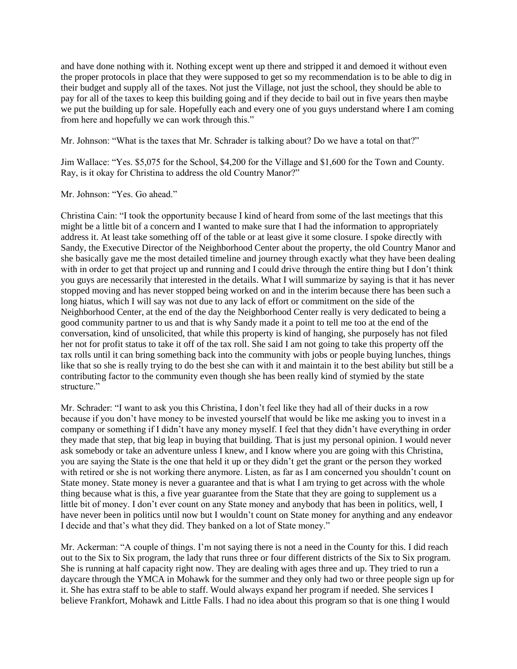and have done nothing with it. Nothing except went up there and stripped it and demoed it without even the proper protocols in place that they were supposed to get so my recommendation is to be able to dig in their budget and supply all of the taxes. Not just the Village, not just the school, they should be able to pay for all of the taxes to keep this building going and if they decide to bail out in five years then maybe we put the building up for sale. Hopefully each and every one of you guys understand where I am coming from here and hopefully we can work through this."

Mr. Johnson: "What is the taxes that Mr. Schrader is talking about? Do we have a total on that?"

Jim Wallace: "Yes. \$5,075 for the School, \$4,200 for the Village and \$1,600 for the Town and County. Ray, is it okay for Christina to address the old Country Manor?"

Mr. Johnson: "Yes. Go ahead."

Christina Cain: "I took the opportunity because I kind of heard from some of the last meetings that this might be a little bit of a concern and I wanted to make sure that I had the information to appropriately address it. At least take something off of the table or at least give it some closure. I spoke directly with Sandy, the Executive Director of the Neighborhood Center about the property, the old Country Manor and she basically gave me the most detailed timeline and journey through exactly what they have been dealing with in order to get that project up and running and I could drive through the entire thing but I don't think you guys are necessarily that interested in the details. What I will summarize by saying is that it has never stopped moving and has never stopped being worked on and in the interim because there has been such a long hiatus, which I will say was not due to any lack of effort or commitment on the side of the Neighborhood Center, at the end of the day the Neighborhood Center really is very dedicated to being a good community partner to us and that is why Sandy made it a point to tell me too at the end of the conversation, kind of unsolicited, that while this property is kind of hanging, she purposely has not filed her not for profit status to take it off of the tax roll. She said I am not going to take this property off the tax rolls until it can bring something back into the community with jobs or people buying lunches, things like that so she is really trying to do the best she can with it and maintain it to the best ability but still be a contributing factor to the community even though she has been really kind of stymied by the state structure."

Mr. Schrader: "I want to ask you this Christina, I don't feel like they had all of their ducks in a row because if you don't have money to be invested yourself that would be like me asking you to invest in a company or something if I didn't have any money myself. I feel that they didn't have everything in order they made that step, that big leap in buying that building. That is just my personal opinion. I would never ask somebody or take an adventure unless I knew, and I know where you are going with this Christina, you are saying the State is the one that held it up or they didn't get the grant or the person they worked with retired or she is not working there anymore. Listen, as far as I am concerned you shouldn't count on State money. State money is never a guarantee and that is what I am trying to get across with the whole thing because what is this, a five year guarantee from the State that they are going to supplement us a little bit of money. I don't ever count on any State money and anybody that has been in politics, well, I have never been in politics until now but I wouldn't count on State money for anything and any endeavor I decide and that's what they did. They banked on a lot of State money."

Mr. Ackerman: "A couple of things. I'm not saying there is not a need in the County for this. I did reach out to the Six to Six program, the lady that runs three or four different districts of the Six to Six program. She is running at half capacity right now. They are dealing with ages three and up. They tried to run a daycare through the YMCA in Mohawk for the summer and they only had two or three people sign up for it. She has extra staff to be able to staff. Would always expand her program if needed. She services I believe Frankfort, Mohawk and Little Falls. I had no idea about this program so that is one thing I would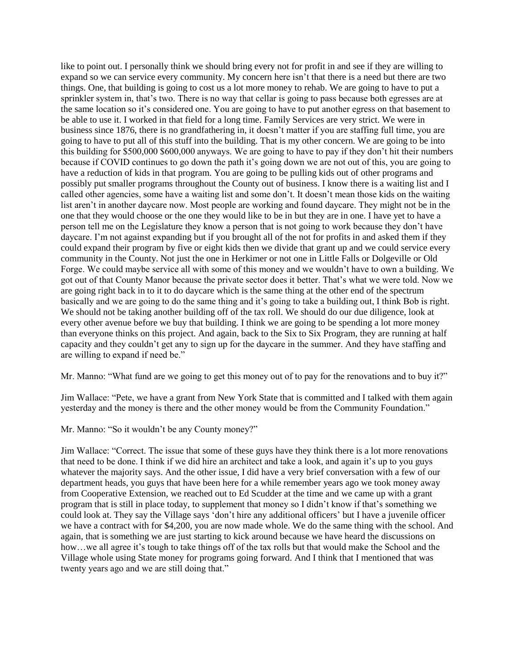like to point out. I personally think we should bring every not for profit in and see if they are willing to expand so we can service every community. My concern here isn't that there is a need but there are two things. One, that building is going to cost us a lot more money to rehab. We are going to have to put a sprinkler system in, that's two. There is no way that cellar is going to pass because both egresses are at the same location so it's considered one. You are going to have to put another egress on that basement to be able to use it. I worked in that field for a long time. Family Services are very strict. We were in business since 1876, there is no grandfathering in, it doesn't matter if you are staffing full time, you are going to have to put all of this stuff into the building. That is my other concern. We are going to be into this building for \$500,000 \$600,000 anyways. We are going to have to pay if they don't hit their numbers because if COVID continues to go down the path it's going down we are not out of this, you are going to have a reduction of kids in that program. You are going to be pulling kids out of other programs and possibly put smaller programs throughout the County out of business. I know there is a waiting list and I called other agencies, some have a waiting list and some don't. It doesn't mean those kids on the waiting list aren't in another daycare now. Most people are working and found daycare. They might not be in the one that they would choose or the one they would like to be in but they are in one. I have yet to have a person tell me on the Legislature they know a person that is not going to work because they don't have daycare. I'm not against expanding but if you brought all of the not for profits in and asked them if they could expand their program by five or eight kids then we divide that grant up and we could service every community in the County. Not just the one in Herkimer or not one in Little Falls or Dolgeville or Old Forge. We could maybe service all with some of this money and we wouldn't have to own a building. We got out of that County Manor because the private sector does it better. That's what we were told. Now we are going right back in to it to do daycare which is the same thing at the other end of the spectrum basically and we are going to do the same thing and it's going to take a building out, I think Bob is right. We should not be taking another building off of the tax roll. We should do our due diligence, look at every other avenue before we buy that building. I think we are going to be spending a lot more money than everyone thinks on this project. And again, back to the Six to Six Program, they are running at half capacity and they couldn't get any to sign up for the daycare in the summer. And they have staffing and are willing to expand if need be."

Mr. Manno: "What fund are we going to get this money out of to pay for the renovations and to buy it?"

Jim Wallace: "Pete, we have a grant from New York State that is committed and I talked with them again yesterday and the money is there and the other money would be from the Community Foundation."

Mr. Manno: "So it wouldn't be any County money?"

Jim Wallace: "Correct. The issue that some of these guys have they think there is a lot more renovations that need to be done. I think if we did hire an architect and take a look, and again it's up to you guys whatever the majority says. And the other issue, I did have a very brief conversation with a few of our department heads, you guys that have been here for a while remember years ago we took money away from Cooperative Extension, we reached out to Ed Scudder at the time and we came up with a grant program that is still in place today, to supplement that money so I didn't know if that's something we could look at. They say the Village says 'don't hire any additional officers' but I have a juvenile officer we have a contract with for \$4,200, you are now made whole. We do the same thing with the school. And again, that is something we are just starting to kick around because we have heard the discussions on how…we all agree it's tough to take things off of the tax rolls but that would make the School and the Village whole using State money for programs going forward. And I think that I mentioned that was twenty years ago and we are still doing that."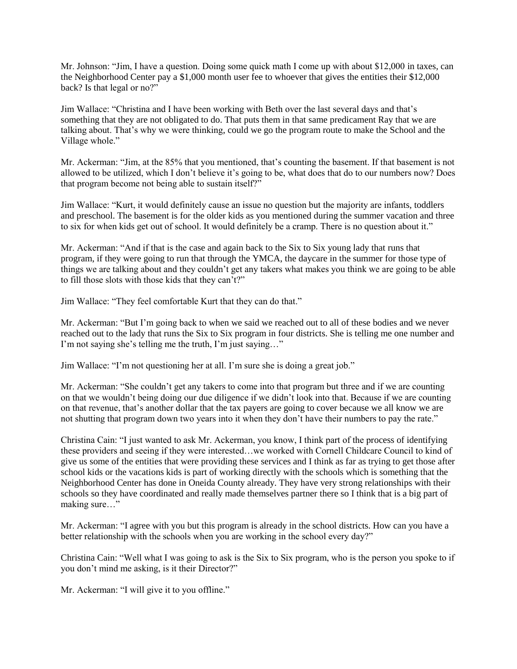Mr. Johnson: "Jim, I have a question. Doing some quick math I come up with about \$12,000 in taxes, can the Neighborhood Center pay a \$1,000 month user fee to whoever that gives the entities their \$12,000 back? Is that legal or no?"

Jim Wallace: "Christina and I have been working with Beth over the last several days and that's something that they are not obligated to do. That puts them in that same predicament Ray that we are talking about. That's why we were thinking, could we go the program route to make the School and the Village whole."

Mr. Ackerman: "Jim, at the 85% that you mentioned, that's counting the basement. If that basement is not allowed to be utilized, which I don't believe it's going to be, what does that do to our numbers now? Does that program become not being able to sustain itself?"

Jim Wallace: "Kurt, it would definitely cause an issue no question but the majority are infants, toddlers and preschool. The basement is for the older kids as you mentioned during the summer vacation and three to six for when kids get out of school. It would definitely be a cramp. There is no question about it."

Mr. Ackerman: "And if that is the case and again back to the Six to Six young lady that runs that program, if they were going to run that through the YMCA, the daycare in the summer for those type of things we are talking about and they couldn't get any takers what makes you think we are going to be able to fill those slots with those kids that they can't?"

Jim Wallace: "They feel comfortable Kurt that they can do that."

Mr. Ackerman: "But I'm going back to when we said we reached out to all of these bodies and we never reached out to the lady that runs the Six to Six program in four districts. She is telling me one number and I'm not saying she's telling me the truth, I'm just saying…"

Jim Wallace: "I'm not questioning her at all. I'm sure she is doing a great job."

Mr. Ackerman: "She couldn't get any takers to come into that program but three and if we are counting on that we wouldn't being doing our due diligence if we didn't look into that. Because if we are counting on that revenue, that's another dollar that the tax payers are going to cover because we all know we are not shutting that program down two years into it when they don't have their numbers to pay the rate."

Christina Cain: "I just wanted to ask Mr. Ackerman, you know, I think part of the process of identifying these providers and seeing if they were interested…we worked with Cornell Childcare Council to kind of give us some of the entities that were providing these services and I think as far as trying to get those after school kids or the vacations kids is part of working directly with the schools which is something that the Neighborhood Center has done in Oneida County already. They have very strong relationships with their schools so they have coordinated and really made themselves partner there so I think that is a big part of making sure…"

Mr. Ackerman: "I agree with you but this program is already in the school districts. How can you have a better relationship with the schools when you are working in the school every day?"

Christina Cain: "Well what I was going to ask is the Six to Six program, who is the person you spoke to if you don't mind me asking, is it their Director?"

Mr. Ackerman: "I will give it to you offline."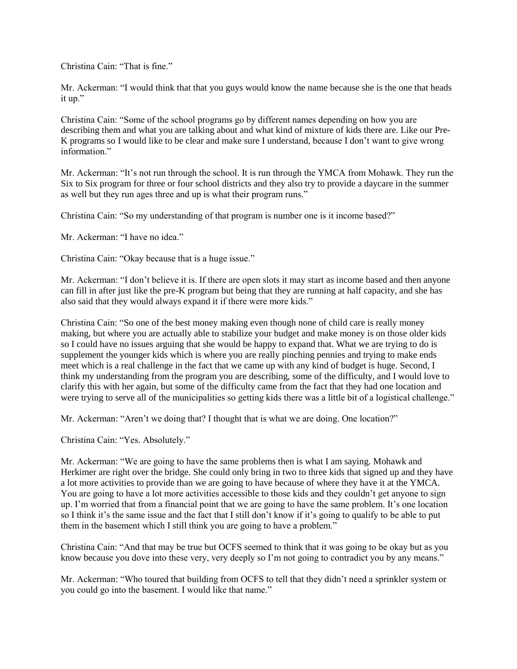Christina Cain: "That is fine."

Mr. Ackerman: "I would think that that you guys would know the name because she is the one that heads it up."

Christina Cain: "Some of the school programs go by different names depending on how you are describing them and what you are talking about and what kind of mixture of kids there are. Like our Pre-K programs so I would like to be clear and make sure I understand, because I don't want to give wrong information."

Mr. Ackerman: "It's not run through the school. It is run through the YMCA from Mohawk. They run the Six to Six program for three or four school districts and they also try to provide a daycare in the summer as well but they run ages three and up is what their program runs."

Christina Cain: "So my understanding of that program is number one is it income based?"

Mr. Ackerman: "I have no idea."

Christina Cain: "Okay because that is a huge issue."

Mr. Ackerman: "I don't believe it is. If there are open slots it may start as income based and then anyone can fill in after just like the pre-K program but being that they are running at half capacity, and she has also said that they would always expand it if there were more kids."

Christina Cain: "So one of the best money making even though none of child care is really money making, but where you are actually able to stabilize your budget and make money is on those older kids so I could have no issues arguing that she would be happy to expand that. What we are trying to do is supplement the younger kids which is where you are really pinching pennies and trying to make ends meet which is a real challenge in the fact that we came up with any kind of budget is huge. Second, I think my understanding from the program you are describing, some of the difficulty, and I would love to clarify this with her again, but some of the difficulty came from the fact that they had one location and were trying to serve all of the municipalities so getting kids there was a little bit of a logistical challenge."

Mr. Ackerman: "Aren't we doing that? I thought that is what we are doing. One location?"

Christina Cain: "Yes. Absolutely."

Mr. Ackerman: "We are going to have the same problems then is what I am saying. Mohawk and Herkimer are right over the bridge. She could only bring in two to three kids that signed up and they have a lot more activities to provide than we are going to have because of where they have it at the YMCA. You are going to have a lot more activities accessible to those kids and they couldn't get anyone to sign up. I'm worried that from a financial point that we are going to have the same problem. It's one location so I think it's the same issue and the fact that I still don't know if it's going to qualify to be able to put them in the basement which I still think you are going to have a problem."

Christina Cain: "And that may be true but OCFS seemed to think that it was going to be okay but as you know because you dove into these very, very deeply so I'm not going to contradict you by any means."

Mr. Ackerman: "Who toured that building from OCFS to tell that they didn't need a sprinkler system or you could go into the basement. I would like that name."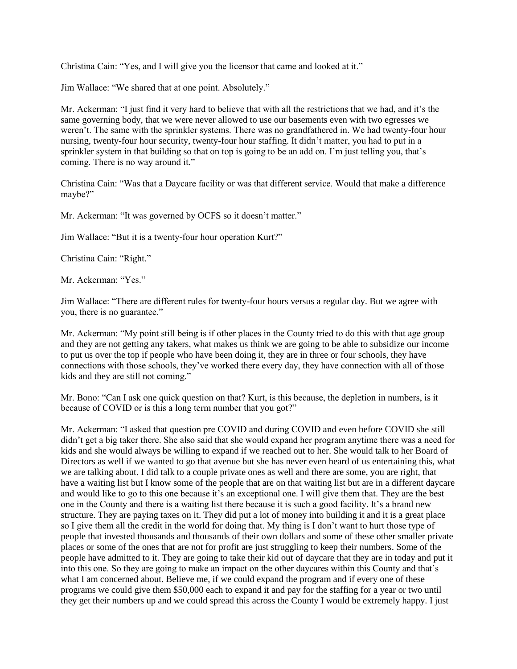Christina Cain: "Yes, and I will give you the licensor that came and looked at it."

Jim Wallace: "We shared that at one point. Absolutely."

Mr. Ackerman: "I just find it very hard to believe that with all the restrictions that we had, and it's the same governing body, that we were never allowed to use our basements even with two egresses we weren't. The same with the sprinkler systems. There was no grandfathered in. We had twenty-four hour nursing, twenty-four hour security, twenty-four hour staffing. It didn't matter, you had to put in a sprinkler system in that building so that on top is going to be an add on. I'm just telling you, that's coming. There is no way around it."

Christina Cain: "Was that a Daycare facility or was that different service. Would that make a difference maybe?"

Mr. Ackerman: "It was governed by OCFS so it doesn't matter."

Jim Wallace: "But it is a twenty-four hour operation Kurt?"

Christina Cain: "Right."

Mr. Ackerman: "Yes."

Jim Wallace: "There are different rules for twenty-four hours versus a regular day. But we agree with you, there is no guarantee."

Mr. Ackerman: "My point still being is if other places in the County tried to do this with that age group and they are not getting any takers, what makes us think we are going to be able to subsidize our income to put us over the top if people who have been doing it, they are in three or four schools, they have connections with those schools, they've worked there every day, they have connection with all of those kids and they are still not coming."

Mr. Bono: "Can I ask one quick question on that? Kurt, is this because, the depletion in numbers, is it because of COVID or is this a long term number that you got?"

Mr. Ackerman: "I asked that question pre COVID and during COVID and even before COVID she still didn't get a big taker there. She also said that she would expand her program anytime there was a need for kids and she would always be willing to expand if we reached out to her. She would talk to her Board of Directors as well if we wanted to go that avenue but she has never even heard of us entertaining this, what we are talking about. I did talk to a couple private ones as well and there are some, you are right, that have a waiting list but I know some of the people that are on that waiting list but are in a different daycare and would like to go to this one because it's an exceptional one. I will give them that. They are the best one in the County and there is a waiting list there because it is such a good facility. It's a brand new structure. They are paying taxes on it. They did put a lot of money into building it and it is a great place so I give them all the credit in the world for doing that. My thing is I don't want to hurt those type of people that invested thousands and thousands of their own dollars and some of these other smaller private places or some of the ones that are not for profit are just struggling to keep their numbers. Some of the people have admitted to it. They are going to take their kid out of daycare that they are in today and put it into this one. So they are going to make an impact on the other daycares within this County and that's what I am concerned about. Believe me, if we could expand the program and if every one of these programs we could give them \$50,000 each to expand it and pay for the staffing for a year or two until they get their numbers up and we could spread this across the County I would be extremely happy. I just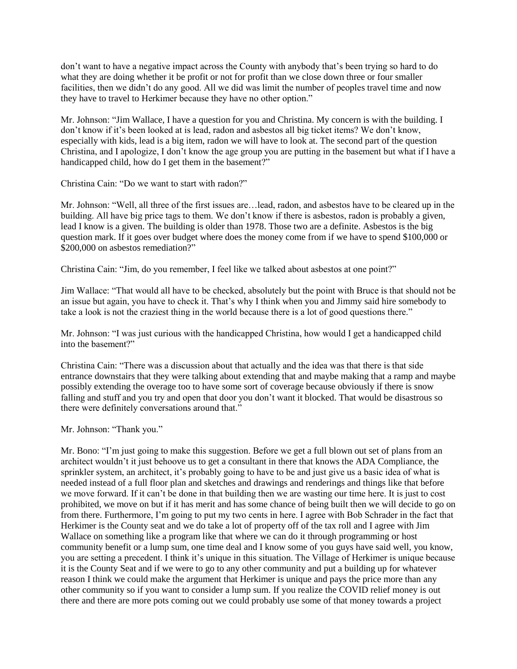don't want to have a negative impact across the County with anybody that's been trying so hard to do what they are doing whether it be profit or not for profit than we close down three or four smaller facilities, then we didn't do any good. All we did was limit the number of peoples travel time and now they have to travel to Herkimer because they have no other option."

Mr. Johnson: "Jim Wallace, I have a question for you and Christina. My concern is with the building. I don't know if it's been looked at is lead, radon and asbestos all big ticket items? We don't know, especially with kids, lead is a big item, radon we will have to look at. The second part of the question Christina, and I apologize, I don't know the age group you are putting in the basement but what if I have a handicapped child, how do I get them in the basement?"

Christina Cain: "Do we want to start with radon?"

Mr. Johnson: "Well, all three of the first issues are…lead, radon, and asbestos have to be cleared up in the building. All have big price tags to them. We don't know if there is asbestos, radon is probably a given, lead I know is a given. The building is older than 1978. Those two are a definite. Asbestos is the big question mark. If it goes over budget where does the money come from if we have to spend \$100,000 or \$200,000 on asbestos remediation?"

Christina Cain: "Jim, do you remember, I feel like we talked about asbestos at one point?"

Jim Wallace: "That would all have to be checked, absolutely but the point with Bruce is that should not be an issue but again, you have to check it. That's why I think when you and Jimmy said hire somebody to take a look is not the craziest thing in the world because there is a lot of good questions there."

Mr. Johnson: "I was just curious with the handicapped Christina, how would I get a handicapped child into the basement?"

Christina Cain: "There was a discussion about that actually and the idea was that there is that side entrance downstairs that they were talking about extending that and maybe making that a ramp and maybe possibly extending the overage too to have some sort of coverage because obviously if there is snow falling and stuff and you try and open that door you don't want it blocked. That would be disastrous so there were definitely conversations around that."

Mr. Johnson: "Thank you."

Mr. Bono: "I'm just going to make this suggestion. Before we get a full blown out set of plans from an architect wouldn't it just behoove us to get a consultant in there that knows the ADA Compliance, the sprinkler system, an architect, it's probably going to have to be and just give us a basic idea of what is needed instead of a full floor plan and sketches and drawings and renderings and things like that before we move forward. If it can't be done in that building then we are wasting our time here. It is just to cost prohibited, we move on but if it has merit and has some chance of being built then we will decide to go on from there. Furthermore, I'm going to put my two cents in here. I agree with Bob Schrader in the fact that Herkimer is the County seat and we do take a lot of property off of the tax roll and I agree with Jim Wallace on something like a program like that where we can do it through programming or host community benefit or a lump sum, one time deal and I know some of you guys have said well, you know, you are setting a precedent. I think it's unique in this situation. The Village of Herkimer is unique because it is the County Seat and if we were to go to any other community and put a building up for whatever reason I think we could make the argument that Herkimer is unique and pays the price more than any other community so if you want to consider a lump sum. If you realize the COVID relief money is out there and there are more pots coming out we could probably use some of that money towards a project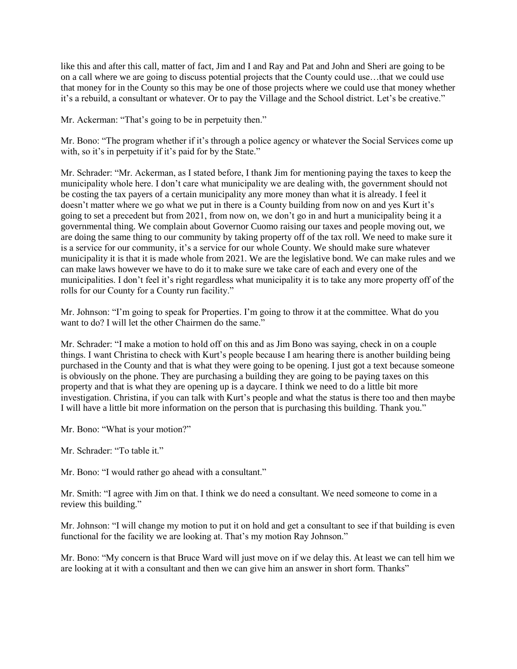like this and after this call, matter of fact, Jim and I and Ray and Pat and John and Sheri are going to be on a call where we are going to discuss potential projects that the County could use…that we could use that money for in the County so this may be one of those projects where we could use that money whether it's a rebuild, a consultant or whatever. Or to pay the Village and the School district. Let's be creative."

Mr. Ackerman: "That's going to be in perpetuity then."

Mr. Bono: "The program whether if it's through a police agency or whatever the Social Services come up with, so it's in perpetuity if it's paid for by the State."

Mr. Schrader: "Mr. Ackerman, as I stated before, I thank Jim for mentioning paying the taxes to keep the municipality whole here. I don't care what municipality we are dealing with, the government should not be costing the tax payers of a certain municipality any more money than what it is already. I feel it doesn't matter where we go what we put in there is a County building from now on and yes Kurt it's going to set a precedent but from 2021, from now on, we don't go in and hurt a municipality being it a governmental thing. We complain about Governor Cuomo raising our taxes and people moving out, we are doing the same thing to our community by taking property off of the tax roll. We need to make sure it is a service for our community, it's a service for our whole County. We should make sure whatever municipality it is that it is made whole from 2021. We are the legislative bond. We can make rules and we can make laws however we have to do it to make sure we take care of each and every one of the municipalities. I don't feel it's right regardless what municipality it is to take any more property off of the rolls for our County for a County run facility."

Mr. Johnson: "I'm going to speak for Properties. I'm going to throw it at the committee. What do you want to do? I will let the other Chairmen do the same."

Mr. Schrader: "I make a motion to hold off on this and as Jim Bono was saying, check in on a couple things. I want Christina to check with Kurt's people because I am hearing there is another building being purchased in the County and that is what they were going to be opening. I just got a text because someone is obviously on the phone. They are purchasing a building they are going to be paying taxes on this property and that is what they are opening up is a daycare. I think we need to do a little bit more investigation. Christina, if you can talk with Kurt's people and what the status is there too and then maybe I will have a little bit more information on the person that is purchasing this building. Thank you."

- Mr. Bono: "What is your motion?"
- Mr. Schrader: "To table it."

Mr. Bono: "I would rather go ahead with a consultant."

Mr. Smith: "I agree with Jim on that. I think we do need a consultant. We need someone to come in a review this building."

Mr. Johnson: "I will change my motion to put it on hold and get a consultant to see if that building is even functional for the facility we are looking at. That's my motion Ray Johnson."

Mr. Bono: "My concern is that Bruce Ward will just move on if we delay this. At least we can tell him we are looking at it with a consultant and then we can give him an answer in short form. Thanks"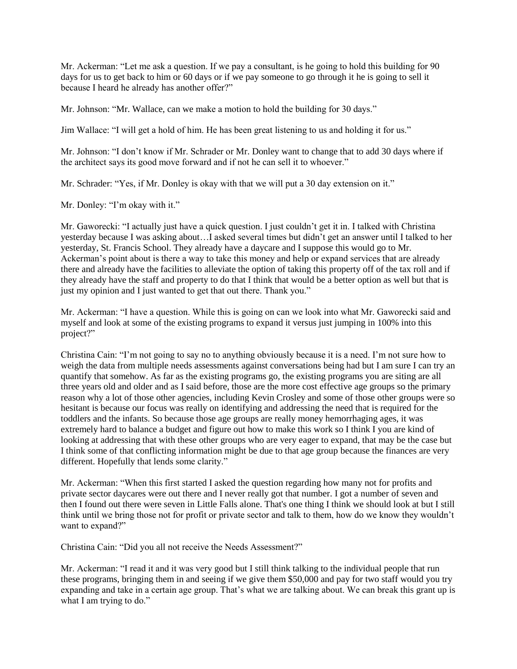Mr. Ackerman: "Let me ask a question. If we pay a consultant, is he going to hold this building for 90 days for us to get back to him or 60 days or if we pay someone to go through it he is going to sell it because I heard he already has another offer?"

Mr. Johnson: "Mr. Wallace, can we make a motion to hold the building for 30 days."

Jim Wallace: "I will get a hold of him. He has been great listening to us and holding it for us."

Mr. Johnson: "I don't know if Mr. Schrader or Mr. Donley want to change that to add 30 days where if the architect says its good move forward and if not he can sell it to whoever."

Mr. Schrader: "Yes, if Mr. Donley is okay with that we will put a 30 day extension on it."

Mr. Donley: "I'm okay with it."

Mr. Gaworecki: "I actually just have a quick question. I just couldn't get it in. I talked with Christina yesterday because I was asking about…I asked several times but didn't get an answer until I talked to her yesterday, St. Francis School. They already have a daycare and I suppose this would go to Mr. Ackerman's point about is there a way to take this money and help or expand services that are already there and already have the facilities to alleviate the option of taking this property off of the tax roll and if they already have the staff and property to do that I think that would be a better option as well but that is just my opinion and I just wanted to get that out there. Thank you."

Mr. Ackerman: "I have a question. While this is going on can we look into what Mr. Gaworecki said and myself and look at some of the existing programs to expand it versus just jumping in 100% into this project?"

Christina Cain: "I'm not going to say no to anything obviously because it is a need. I'm not sure how to weigh the data from multiple needs assessments against conversations being had but I am sure I can try an quantify that somehow. As far as the existing programs go, the existing programs you are siting are all three years old and older and as I said before, those are the more cost effective age groups so the primary reason why a lot of those other agencies, including Kevin Crosley and some of those other groups were so hesitant is because our focus was really on identifying and addressing the need that is required for the toddlers and the infants. So because those age groups are really money hemorrhaging ages, it was extremely hard to balance a budget and figure out how to make this work so I think I you are kind of looking at addressing that with these other groups who are very eager to expand, that may be the case but I think some of that conflicting information might be due to that age group because the finances are very different. Hopefully that lends some clarity."

Mr. Ackerman: "When this first started I asked the question regarding how many not for profits and private sector daycares were out there and I never really got that number. I got a number of seven and then I found out there were seven in Little Falls alone. That's one thing I think we should look at but I still think until we bring those not for profit or private sector and talk to them, how do we know they wouldn't want to expand?"

Christina Cain: "Did you all not receive the Needs Assessment?"

Mr. Ackerman: "I read it and it was very good but I still think talking to the individual people that run these programs, bringing them in and seeing if we give them \$50,000 and pay for two staff would you try expanding and take in a certain age group. That's what we are talking about. We can break this grant up is what I am trying to do."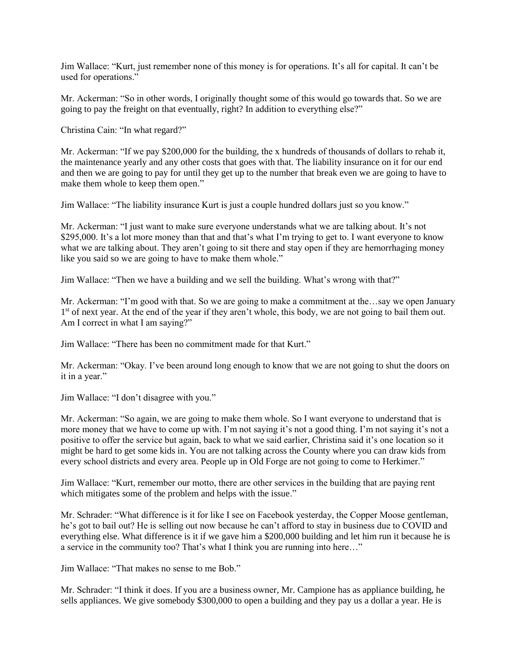Jim Wallace: "Kurt, just remember none of this money is for operations. It's all for capital. It can't be used for operations."

Mr. Ackerman: "So in other words, I originally thought some of this would go towards that. So we are going to pay the freight on that eventually, right? In addition to everything else?"

Christina Cain: "In what regard?"

Mr. Ackerman: "If we pay \$200,000 for the building, the x hundreds of thousands of dollars to rehab it, the maintenance yearly and any other costs that goes with that. The liability insurance on it for our end and then we are going to pay for until they get up to the number that break even we are going to have to make them whole to keep them open."

Jim Wallace: "The liability insurance Kurt is just a couple hundred dollars just so you know."

Mr. Ackerman: "I just want to make sure everyone understands what we are talking about. It's not \$295,000. It's a lot more money than that and that's what I'm trying to get to. I want everyone to know what we are talking about. They aren't going to sit there and stay open if they are hemorrhaging money like you said so we are going to have to make them whole."

Jim Wallace: "Then we have a building and we sell the building. What's wrong with that?"

Mr. Ackerman: "I'm good with that. So we are going to make a commitment at the…say we open January 1<sup>st</sup> of next year. At the end of the year if they aren't whole, this body, we are not going to bail them out. Am I correct in what I am saying?"

Jim Wallace: "There has been no commitment made for that Kurt."

Mr. Ackerman: "Okay. I've been around long enough to know that we are not going to shut the doors on it in a year."

Jim Wallace: "I don't disagree with you."

Mr. Ackerman: "So again, we are going to make them whole. So I want everyone to understand that is more money that we have to come up with. I'm not saying it's not a good thing. I'm not saying it's not a positive to offer the service but again, back to what we said earlier, Christina said it's one location so it might be hard to get some kids in. You are not talking across the County where you can draw kids from every school districts and every area. People up in Old Forge are not going to come to Herkimer."

Jim Wallace: "Kurt, remember our motto, there are other services in the building that are paying rent which mitigates some of the problem and helps with the issue."

Mr. Schrader: "What difference is it for like I see on Facebook yesterday, the Copper Moose gentleman, he's got to bail out? He is selling out now because he can't afford to stay in business due to COVID and everything else. What difference is it if we gave him a \$200,000 building and let him run it because he is a service in the community too? That's what I think you are running into here…"

Jim Wallace: "That makes no sense to me Bob."

Mr. Schrader: "I think it does. If you are a business owner, Mr. Campione has as appliance building, he sells appliances. We give somebody \$300,000 to open a building and they pay us a dollar a year. He is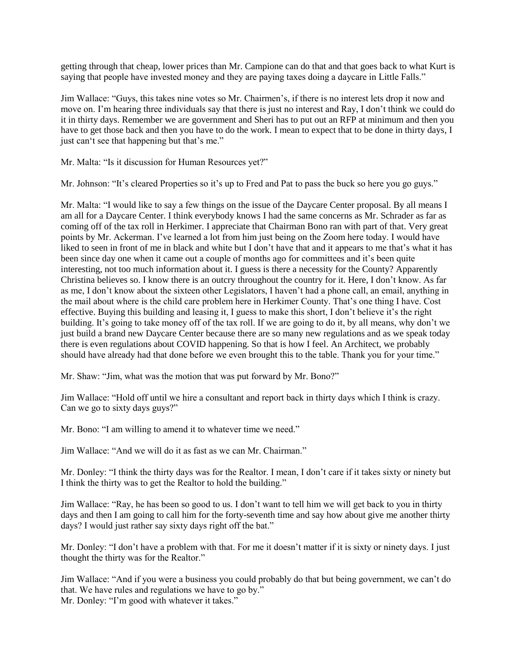getting through that cheap, lower prices than Mr. Campione can do that and that goes back to what Kurt is saying that people have invested money and they are paying taxes doing a daycare in Little Falls."

Jim Wallace: "Guys, this takes nine votes so Mr. Chairmen's, if there is no interest lets drop it now and move on. I'm hearing three individuals say that there is just no interest and Ray, I don't think we could do it in thirty days. Remember we are government and Sheri has to put out an RFP at minimum and then you have to get those back and then you have to do the work. I mean to expect that to be done in thirty days, I just can't see that happening but that's me."

Mr. Malta: "Is it discussion for Human Resources yet?"

Mr. Johnson: "It's cleared Properties so it's up to Fred and Pat to pass the buck so here you go guys."

Mr. Malta: "I would like to say a few things on the issue of the Daycare Center proposal. By all means I am all for a Daycare Center. I think everybody knows I had the same concerns as Mr. Schrader as far as coming off of the tax roll in Herkimer. I appreciate that Chairman Bono ran with part of that. Very great points by Mr. Ackerman. I've learned a lot from him just being on the Zoom here today. I would have liked to seen in front of me in black and white but I don't have that and it appears to me that's what it has been since day one when it came out a couple of months ago for committees and it's been quite interesting, not too much information about it. I guess is there a necessity for the County? Apparently Christina believes so. I know there is an outcry throughout the country for it. Here, I don't know. As far as me, I don't know about the sixteen other Legislators, I haven't had a phone call, an email, anything in the mail about where is the child care problem here in Herkimer County. That's one thing I have. Cost effective. Buying this building and leasing it, I guess to make this short, I don't believe it's the right building. It's going to take money off of the tax roll. If we are going to do it, by all means, why don't we just build a brand new Daycare Center because there are so many new regulations and as we speak today there is even regulations about COVID happening. So that is how I feel. An Architect, we probably should have already had that done before we even brought this to the table. Thank you for your time."

Mr. Shaw: "Jim, what was the motion that was put forward by Mr. Bono?"

Jim Wallace: "Hold off until we hire a consultant and report back in thirty days which I think is crazy. Can we go to sixty days guys?"

Mr. Bono: "I am willing to amend it to whatever time we need."

Jim Wallace: "And we will do it as fast as we can Mr. Chairman."

Mr. Donley: "I think the thirty days was for the Realtor. I mean, I don't care if it takes sixty or ninety but I think the thirty was to get the Realtor to hold the building."

Jim Wallace: "Ray, he has been so good to us. I don't want to tell him we will get back to you in thirty days and then I am going to call him for the forty-seventh time and say how about give me another thirty days? I would just rather say sixty days right off the bat."

Mr. Donley: "I don't have a problem with that. For me it doesn't matter if it is sixty or ninety days. I just thought the thirty was for the Realtor."

Jim Wallace: "And if you were a business you could probably do that but being government, we can't do that. We have rules and regulations we have to go by." Mr. Donley: "I'm good with whatever it takes."